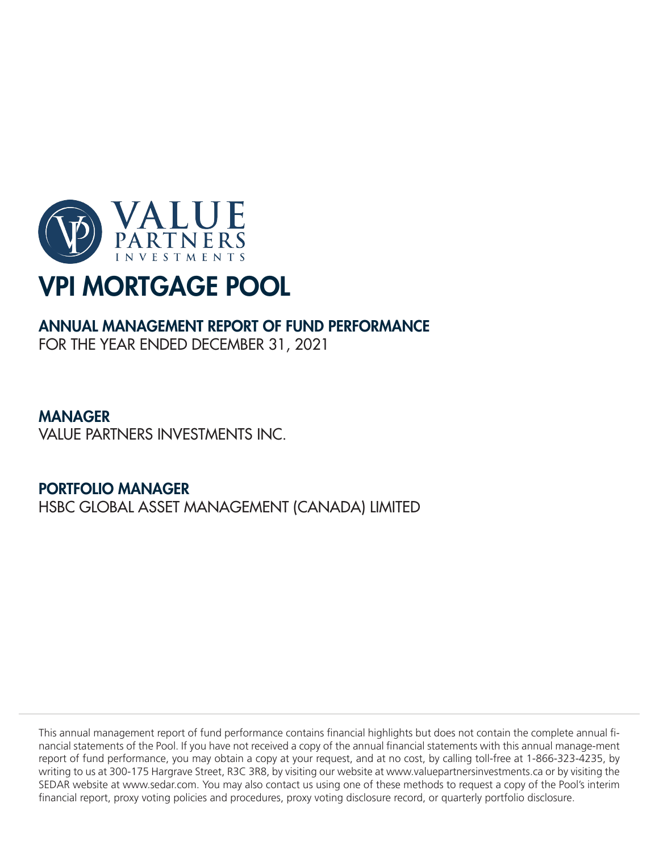

# ANNUAL MANAGEMENT REPORT OF FUND PERFORMANCE

FOR THE YEAR ENDED DECEMBER 31, 2021

# MANAGER

VALUE PARTNERS INVESTMENTS INC.

# PORTFOLIO MANAGER

HSBC GLOBAL ASSET MANAGEMENT (CANADA) LIMITED

This annual management report of fund performance contains financial highlights but does not contain the complete annual financial statements of the Pool. If you have not received a copy of the annual financial statements with this annual manage-ment report of fund performance, you may obtain a copy at your request, and at no cost, by calling toll-free at 1-866-323-4235, by writing to us at 300-175 Hargrave Street, R3C 3R8, by visiting our website at www.valuepartnersinvestments.ca or by visiting the SEDAR website at www.sedar.com. You may also contact us using one of these methods to request a copy of the Pool's interim financial report, proxy voting policies and procedures, proxy voting disclosure record, or quarterly portfolio disclosure.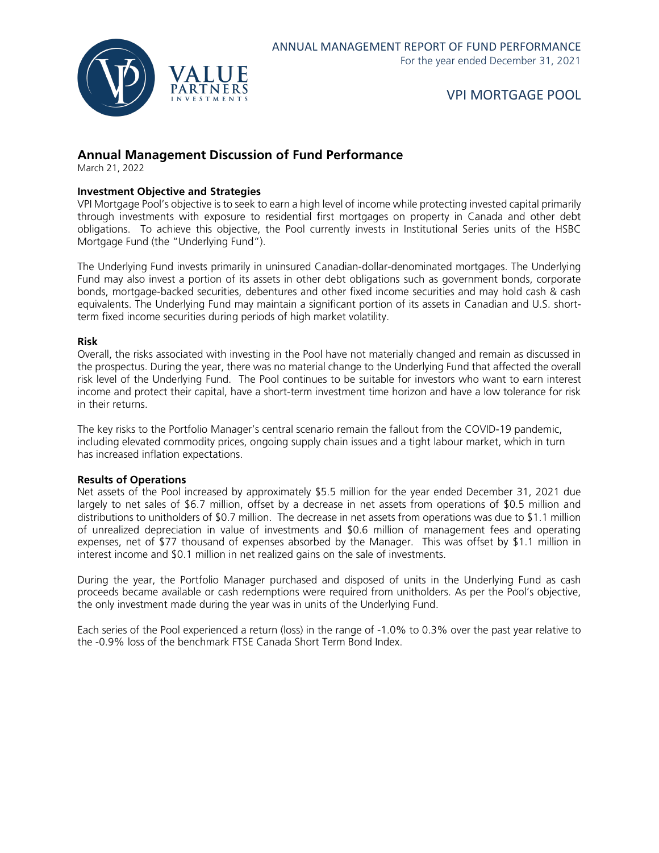

### **Annual Management Discussion of Fund Performance**

March 21, 2022

#### **Investment Objective and Strategies**

VPI Mortgage Pool's objective is to seek to earn a high level of income while protecting invested capital primarily through investments with exposure to residential first mortgages on property in Canada and other debt obligations. To achieve this objective, the Pool currently invests in Institutional Series units of the HSBC Mortgage Fund (the "Underlying Fund").

The Underlying Fund invests primarily in uninsured Canadian-dollar-denominated mortgages. The Underlying Fund may also invest a portion of its assets in other debt obligations such as government bonds, corporate bonds, mortgage-backed securities, debentures and other fixed income securities and may hold cash & cash equivalents. The Underlying Fund may maintain a significant portion of its assets in Canadian and U.S. shortterm fixed income securities during periods of high market volatility.

#### **Risk**

Overall, the risks associated with investing in the Pool have not materially changed and remain as discussed in the prospectus. During the year, there was no material change to the Underlying Fund that affected the overall risk level of the Underlying Fund. The Pool continues to be suitable for investors who want to earn interest income and protect their capital, have a short-term investment time horizon and have a low tolerance for risk in their returns.

The key risks to the Portfolio Manager's central scenario remain the fallout from the COVID-19 pandemic, including elevated commodity prices, ongoing supply chain issues and a tight labour market, which in turn has increased inflation expectations.

#### **Results of Operations**

Net assets of the Pool increased by approximately \$5.5 million for the year ended December 31, 2021 due largely to net sales of \$6.7 million, offset by a decrease in net assets from operations of \$0.5 million and distributions to unitholders of \$0.7 million. The decrease in net assets from operations was due to \$1.1 million of unrealized depreciation in value of investments and \$0.6 million of management fees and operating expenses, net of \$77 thousand of expenses absorbed by the Manager. This was offset by \$1.1 million in interest income and \$0.1 million in net realized gains on the sale of investments.

During the year, the Portfolio Manager purchased and disposed of units in the Underlying Fund as cash proceeds became available or cash redemptions were required from unitholders. As per the Pool's objective, the only investment made during the year was in units of the Underlying Fund.

Each series of the Pool experienced a return (loss) in the range of -1.0% to 0.3% over the past year relative to the -0.9% loss of the benchmark FTSE Canada Short Term Bond Index.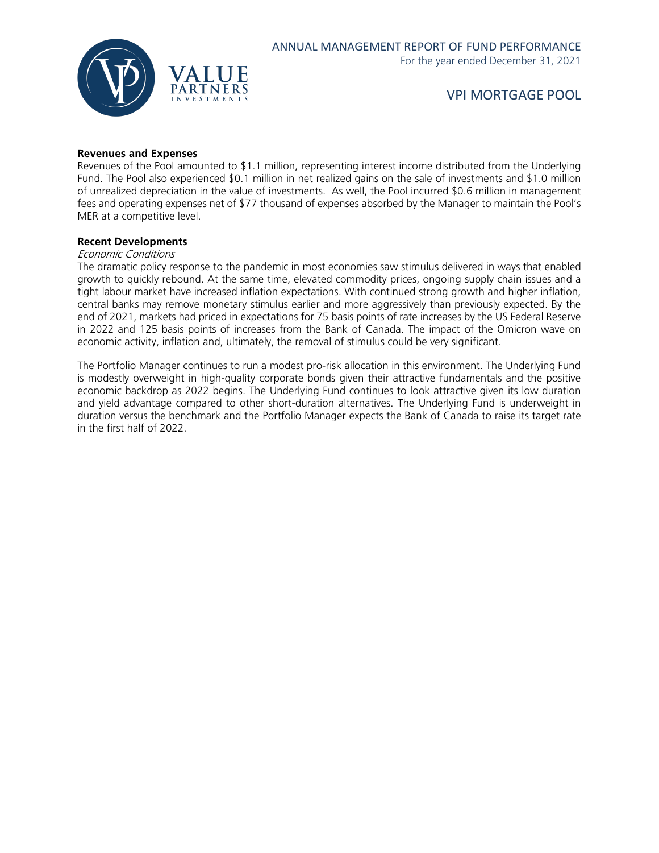

#### **Revenues and Expenses**

Revenues of the Pool amounted to \$1.1 million, representing interest income distributed from the Underlying Fund. The Pool also experienced \$0.1 million in net realized gains on the sale of investments and \$1.0 million of unrealized depreciation in the value of investments. As well, the Pool incurred \$0.6 million in management fees and operating expenses net of \$77 thousand of expenses absorbed by the Manager to maintain the Pool's MER at a competitive level.

#### **Recent Developments**

#### Economic Conditions

The dramatic policy response to the pandemic in most economies saw stimulus delivered in ways that enabled growth to quickly rebound. At the same time, elevated commodity prices, ongoing supply chain issues and a tight labour market have increased inflation expectations. With continued strong growth and higher inflation, central banks may remove monetary stimulus earlier and more aggressively than previously expected. By the end of 2021, markets had priced in expectations for 75 basis points of rate increases by the US Federal Reserve in 2022 and 125 basis points of increases from the Bank of Canada. The impact of the Omicron wave on economic activity, inflation and, ultimately, the removal of stimulus could be very significant.

The Portfolio Manager continues to run a modest pro-risk allocation in this environment. The Underlying Fund is modestly overweight in high-quality corporate bonds given their attractive fundamentals and the positive economic backdrop as 2022 begins. The Underlying Fund continues to look attractive given its low duration and yield advantage compared to other short-duration alternatives. The Underlying Fund is underweight in duration versus the benchmark and the Portfolio Manager expects the Bank of Canada to raise its target rate in the first half of 2022.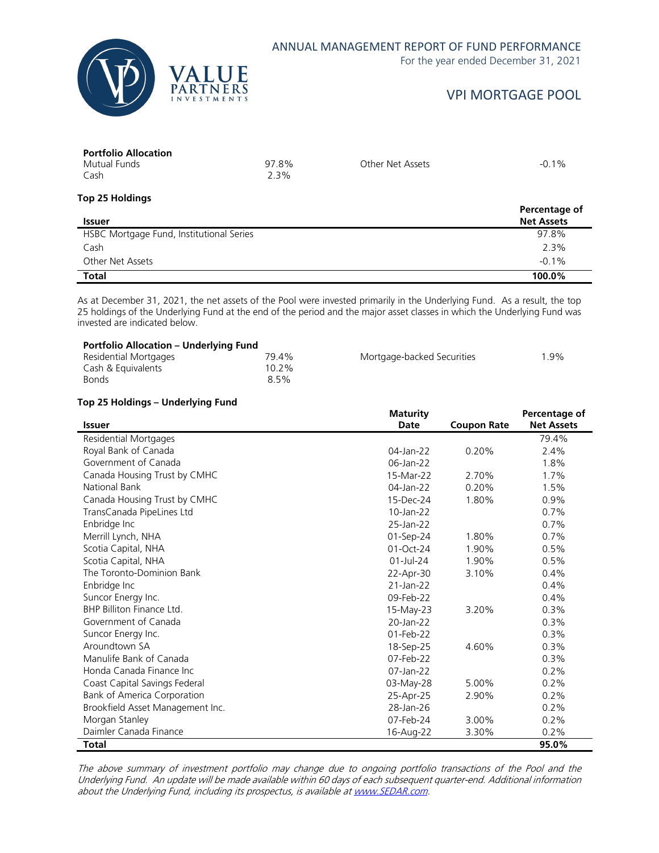

#### ANNUAL MANAGEMENT REPORT OF FUND PERFORMANCE

For the year ended December 31, 2021

# VPI MORTGAGE POOL

| <b>Portfolio Allocation</b> |       |
|-----------------------------|-------|
| Mutual Funds                | 97.8% |
| Cash                        | 2.3%  |

Other Net Assets -0.1%

#### **Top 25 Holdings Issuer Percentage of Net Assets** HSBC Mortgage Fund, Institutional Series 97.8% Cash 2.3% Other Net Assets **-0.1%** -0.1% **Total 100.0%**

As at December 31, 2021, the net assets of the Pool were invested primarily in the Underlying Fund. As a result, the top 25 holdings of the Underlying Fund at the end of the period and the major asset classes in which the Underlying Fund was invested are indicated below.

| Residential Mortgages | 79.4% | Mortgage-backed Securities | 1.9% |
|-----------------------|-------|----------------------------|------|
| Cash & Equivalents    | 10.2% |                            |      |
| <b>Bonds</b>          | 8.5%  |                            |      |

#### **Top 25 Holdings – Underlying Fund**

|                                  | <b>Maturity</b> |                    | Percentage of     |
|----------------------------------|-----------------|--------------------|-------------------|
| <b>Issuer</b>                    | <b>Date</b>     | <b>Coupon Rate</b> | <b>Net Assets</b> |
| Residential Mortgages            |                 |                    | 79.4%             |
| Royal Bank of Canada             | 04-Jan-22       | 0.20%              | 2.4%              |
| Government of Canada             | 06-Jan-22       |                    | 1.8%              |
| Canada Housing Trust by CMHC     | 15-Mar-22       | 2.70%              | 1.7%              |
| <b>National Bank</b>             | 04-Jan-22       | 0.20%              | 1.5%              |
| Canada Housing Trust by CMHC     | 15-Dec-24       | 1.80%              | 0.9%              |
| TransCanada PipeLines Ltd        | 10-Jan-22       |                    | 0.7%              |
| Enbridge Inc                     | 25-Jan-22       |                    | 0.7%              |
| Merrill Lynch, NHA               | 01-Sep-24       | 1.80%              | 0.7%              |
| Scotia Capital, NHA              | $01$ -Oct-24    | 1.90%              | 0.5%              |
| Scotia Capital, NHA              | $01$ -Jul-24    | 1.90%              | 0.5%              |
| The Toronto-Dominion Bank        | 22-Apr-30       | 3.10%              | 0.4%              |
| Enbridge Inc                     | $21$ -Jan-22    |                    | 0.4%              |
| Suncor Energy Inc.               | 09-Feb-22       |                    | 0.4%              |
| BHP Billiton Finance Ltd.        | 15-May-23       | 3.20%              | 0.3%              |
| Government of Canada             | 20-Jan-22       |                    | 0.3%              |
| Suncor Energy Inc.               | 01-Feb-22       |                    | 0.3%              |
| Aroundtown SA                    | 18-Sep-25       | 4.60%              | 0.3%              |
| Manulife Bank of Canada          | 07-Feb-22       |                    | 0.3%              |
| Honda Canada Finance Inc         | 07-Jan-22       |                    | 0.2%              |
| Coast Capital Savings Federal    | 03-May-28       | 5.00%              | 0.2%              |
| Bank of America Corporation      | 25-Apr-25       | 2.90%              | 0.2%              |
| Brookfield Asset Management Inc. | 28-Jan-26       |                    | 0.2%              |
| Morgan Stanley                   | 07-Feb-24       | 3.00%              | 0.2%              |
| Daimler Canada Finance           | 16-Aug-22       | 3.30%              | 0.2%              |
| <b>Total</b>                     |                 |                    | 95.0%             |

The above summary of investment portfolio may change due to ongoing portfolio transactions of the Pool and the Underlying Fund. An update will be made available within 60 days of each subsequent quarter-end. Additional information about the Underlying Fund, including its prospectus, is available a[t www.SEDAR.com.](http://www.sedar.com/)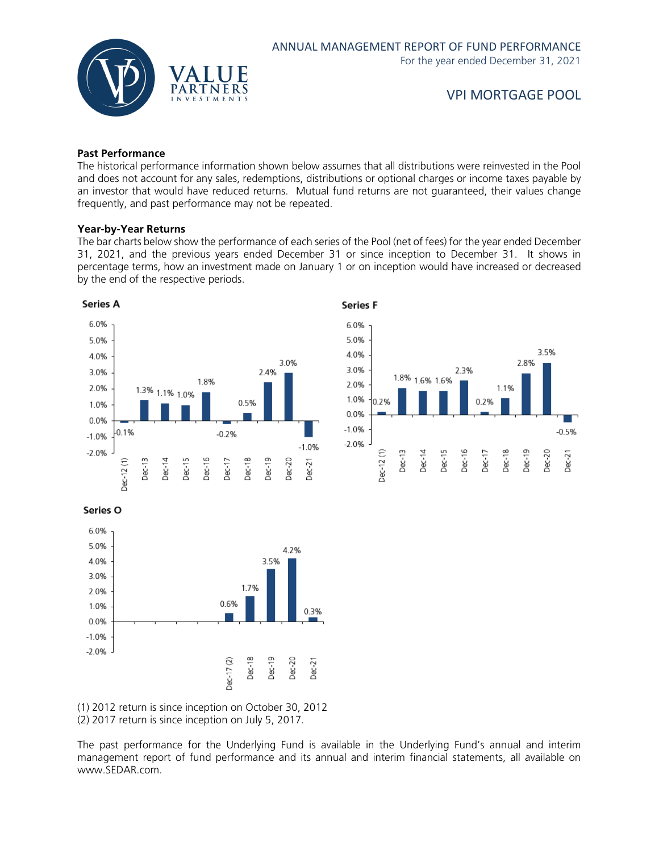

#### **Past Performance**

The historical performance information shown below assumes that all distributions were reinvested in the Pool and does not account for any sales, redemptions, distributions or optional charges or income taxes payable by an investor that would have reduced returns. Mutual fund returns are not guaranteed, their values change frequently, and past performance may not be repeated.

#### **Year-by-Year Returns**

The bar charts below show the performance of each series of the Pool (net of fees) for the year ended December 31, 2021, and the previous years ended December 31 or since inception to December 31. It shows in percentage terms, how an investment made on January 1 or on inception would have increased or decreased by the end of the respective periods.





Series O



(1) 2012 return is since inception on October 30, 2012 (2) 2017 return is since inception on July 5, 2017.

The past performance for the Underlying Fund is available in the Underlying Fund's annual and interim management report of fund performance and its annual and interim financial statements, all available on www.SEDAR.com.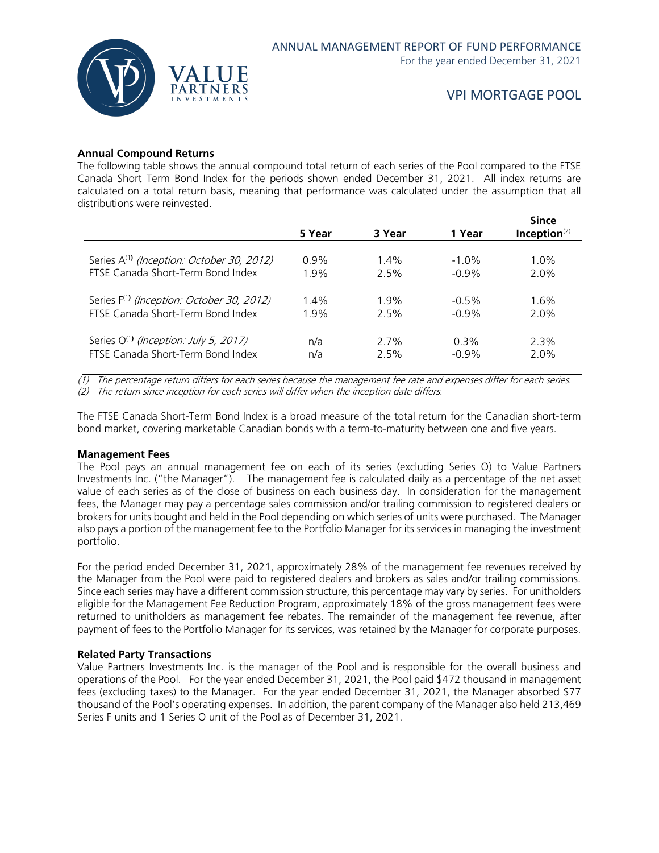

#### **Annual Compound Returns**

The following table shows the annual compound total return of each series of the Pool compared to the FTSE Canada Short Term Bond Index for the periods shown ended December 31, 2021. All index returns are calculated on a total return basis, meaning that performance was calculated under the assumption that all distributions were reinvested.

|                                                       | 5 Year  | 3 Year  | 1 Year   | <b>Since</b><br>Inception $(2)$ |
|-------------------------------------------------------|---------|---------|----------|---------------------------------|
|                                                       |         |         |          |                                 |
| Series A <sup>(1)</sup> (Inception: October 30, 2012) | $0.9\%$ | $1.4\%$ | $-1.0\%$ | $1.0\%$                         |
| FTSE Canada Short-Term Bond Index                     | 1.9%    | 2.5%    | $-0.9\%$ | 2.0%                            |
|                                                       |         |         |          |                                 |
| Series F <sup>(1)</sup> (Inception: October 30, 2012) | $1.4\%$ | 1.9%    | $-0.5%$  | 1.6%                            |
| FTSE Canada Short-Term Bond Index                     | 1.9%    | 2.5%    | $-0.9%$  | 2.0%                            |
|                                                       |         |         |          |                                 |
| Series O <sup>(1)</sup> (Inception: July 5, 2017)     | n/a     | 2.7%    | $0.3\%$  | $2.3\%$                         |
| FTSE Canada Short-Term Bond Index                     | n/a     | 2.5%    | $-0.9%$  | 2.0%                            |
|                                                       |         |         |          |                                 |

(1) The percentage return differs for each series because the management fee rate and expenses differ for each series. (2) The return since inception for each series will differ when the inception date differs.

The FTSE Canada Short-Term Bond Index is a broad measure of the total return for the Canadian short-term bond market, covering marketable Canadian bonds with a term-to-maturity between one and five years.

#### **Management Fees**

The Pool pays an annual management fee on each of its series (excluding Series O) to Value Partners Investments Inc. ("the Manager"). The management fee is calculated daily as a percentage of the net asset value of each series as of the close of business on each business day. In consideration for the management fees, the Manager may pay a percentage sales commission and/or trailing commission to registered dealers or brokers for units bought and held in the Pool depending on which series of units were purchased. The Manager also pays a portion of the management fee to the Portfolio Manager for its services in managing the investment portfolio.

For the period ended December 31, 2021, approximately 28% of the management fee revenues received by the Manager from the Pool were paid to registered dealers and brokers as sales and/or trailing commissions. Since each series may have a different commission structure, this percentage may vary by series. For unitholders eligible for the Management Fee Reduction Program, approximately 18% of the gross management fees were returned to unitholders as management fee rebates. The remainder of the management fee revenue, after payment of fees to the Portfolio Manager for its services, was retained by the Manager for corporate purposes.

#### **Related Party Transactions**

Value Partners Investments Inc. is the manager of the Pool and is responsible for the overall business and operations of the Pool. For the year ended December 31, 2021, the Pool paid \$472 thousand in management fees (excluding taxes) to the Manager. For the year ended December 31, 2021, the Manager absorbed \$77 thousand of the Pool's operating expenses. In addition, the parent company of the Manager also held 213,469 Series F units and 1 Series O unit of the Pool as of December 31, 2021.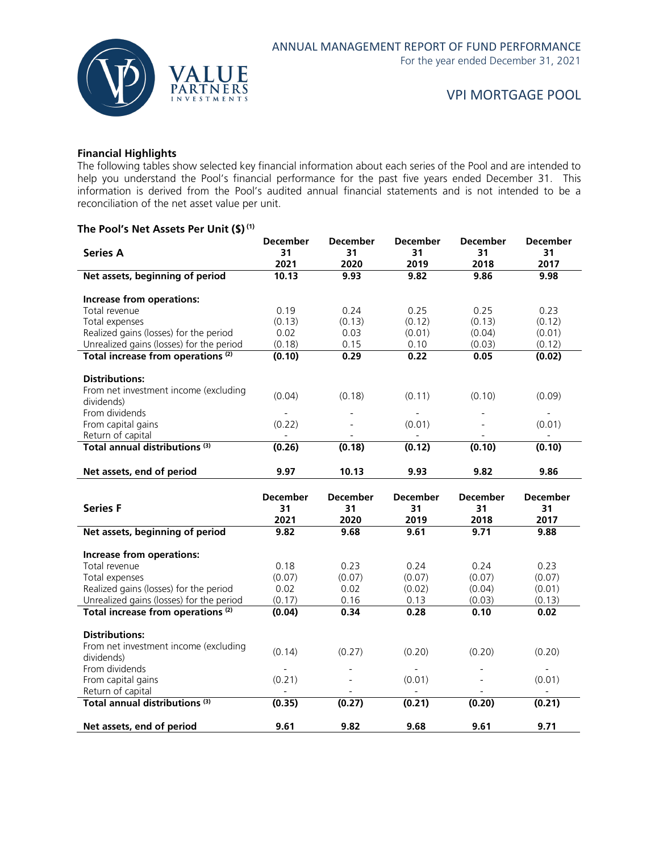

#### **Financial Highlights**

The following tables show selected key financial information about each series of the Pool and are intended to help you understand the Pool's financial performance for the past five years ended December 31. This information is derived from the Pool's audited annual financial statements and is not intended to be a reconciliation of the net asset value per unit.

#### **The Pool's Net Assets Per Unit (\$) (1)**

|                                                                | <b>December</b> | <b>December</b> | <b>December</b> | <b>December</b> | <b>December</b> |
|----------------------------------------------------------------|-----------------|-----------------|-----------------|-----------------|-----------------|
| <b>Series A</b>                                                | 31              | 31              | 31              | 31              | 31              |
|                                                                | 2021            | 2020            | 2019            | 2018            | 2017            |
| Net assets, beginning of period                                | 10.13           | 9.93            | 9.82            | 9.86            | 9.98            |
|                                                                |                 |                 |                 |                 |                 |
| Increase from operations:                                      |                 |                 |                 |                 |                 |
| Total revenue                                                  | 0.19            | 0.24            | 0.25            | 0.25            | 0.23            |
| Total expenses                                                 | (0.13)          | (0.13)          | (0.12)          | (0.13)          | (0.12)          |
| Realized gains (losses) for the period                         | 0.02            | 0.03            | (0.01)          | (0.04)          | (0.01)          |
| Unrealized gains (losses) for the period                       | (0.18)          | 0.15            | 0.10            | (0.03)          | (0.12)          |
| Total increase from operations <sup>(2)</sup>                  | (0.10)          | 0.29            | 0.22            | 0.05            | (0.02)          |
|                                                                |                 |                 |                 |                 |                 |
| <b>Distributions:</b>                                          |                 |                 |                 |                 |                 |
| From net investment income (excluding                          |                 |                 |                 |                 |                 |
| dividends)                                                     | (0.04)          | (0.18)          | (0.11)          | (0.10)          | (0.09)          |
| From dividends                                                 |                 | $\overline{a}$  |                 |                 |                 |
| From capital gains                                             | (0.22)          |                 | (0.01)          |                 | (0.01)          |
| Return of capital                                              |                 |                 |                 |                 |                 |
| Total annual distributions <sup>(3)</sup>                      | (0.26)          | (0.18)          | (0.12)          | (0.10)          | (0.10)          |
|                                                                |                 |                 |                 |                 |                 |
| Net assets, end of period                                      | 9.97            | 10.13           | 9.93            | 9.82            | 9.86            |
|                                                                |                 |                 |                 |                 |                 |
|                                                                |                 |                 |                 |                 |                 |
|                                                                | <b>December</b> | <b>December</b> | <b>December</b> | <b>December</b> | <b>December</b> |
| <b>Series F</b>                                                | 31              | 31              | 31              | 31              | 31              |
|                                                                | 2021            | 2020            | 2019            | 2018            | 2017            |
| Net assets, beginning of period                                | 9.82            | 9.68            | 9.61            | 9.71            | 9.88            |
|                                                                |                 |                 |                 |                 |                 |
| Increase from operations:                                      |                 |                 |                 |                 |                 |
| Total revenue                                                  | 0.18            | 0.23            | 0.24            | 0.24            | 0.23            |
| Total expenses                                                 | (0.07)          | (0.07)          | (0.07)          | (0.07)          | (0.07)          |
| Realized gains (losses) for the period                         | 0.02            | 0.02            | (0.02)          | (0.04)          | (0.01)          |
| Unrealized gains (losses) for the period                       | (0.17)          | 0.16            | 0.13            | (0.03)          | (0.13)          |
| Total increase from operations <sup>(2)</sup>                  | (0.04)          | 0.34            | 0.28            | 0.10            | 0.02            |
|                                                                |                 |                 |                 |                 |                 |
| <b>Distributions:</b>                                          |                 |                 |                 |                 |                 |
| From net investment income (excluding                          | (0.14)          | (0.27)          | (0.20)          | (0.20)          | (0.20)          |
| dividends)<br>From dividends                                   |                 |                 |                 |                 |                 |
|                                                                |                 |                 |                 |                 |                 |
| From capital gains                                             | (0.21)          |                 | (0.01)          |                 | (0.01)          |
| Return of capital<br>Total annual distributions <sup>(3)</sup> | (0.35)          | (0.27)          | (0.21)          | (0.20)          | (0.21)          |
| Net assets, end of period                                      | 9.61            | 9.82            | 9.68            | 9.61            | 9.71            |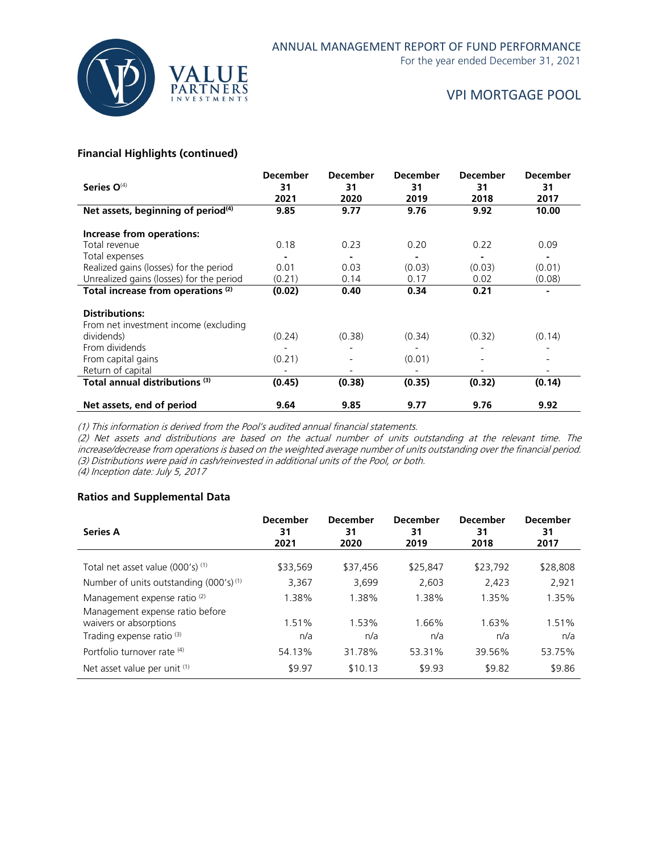

For the year ended December 31, 2021

## VPI MORTGAGE POOL

#### **Financial Highlights (continued)**

|                                                | <b>December</b> | <b>December</b> | <b>December</b> | <b>December</b> | <b>December</b> |
|------------------------------------------------|-----------------|-----------------|-----------------|-----------------|-----------------|
| Series $O(4)$                                  | 31              | 31              | 31              | 31              | 31              |
|                                                | 2021            | 2020            | 2019            | 2018            | 2017            |
| Net assets, beginning of period <sup>(4)</sup> | 9.85            | 9.77            | 9.76            | 9.92            | 10.00           |
| Increase from operations:                      |                 |                 |                 |                 |                 |
|                                                |                 |                 |                 |                 |                 |
| Total revenue                                  | 0.18            | 0.23            | 0.20            | 0.22            | 0.09            |
| Total expenses                                 |                 |                 |                 |                 |                 |
| Realized gains (losses) for the period         | 0.01            | 0.03            | (0.03)          | (0.03)          | (0.01)          |
| Unrealized gains (losses) for the period       | (0.21)          | 0.14            | 0.17            | 0.02            | (0.08)          |
| Total increase from operations <sup>(2)</sup>  | (0.02)          | 0.40            | 0.34            | 0.21            |                 |
| <b>Distributions:</b>                          |                 |                 |                 |                 |                 |
| From net investment income (excluding          |                 |                 |                 |                 |                 |
| dividends)                                     | (0.24)          | (0.38)          | (0.34)          | (0.32)          | (0.14)          |
| From dividends                                 |                 |                 |                 |                 |                 |
| From capital gains                             | (0.21)          |                 | (0.01)          |                 |                 |
| Return of capital                              |                 |                 |                 |                 |                 |
| Total annual distributions (3)                 | (0.45)          | (0.38)          | (0.35)          | (0.32)          | (0.14)          |
| Net assets, end of period                      | 9.64            | 9.85            | 9.77            | 9.76            | 9.92            |

(1) This information is derived from the Pool's audited annual financial statements.

(2) Net assets and distributions are based on the actual number of units outstanding at the relevant time. The increase/decrease from operations is based on the weighted average number of units outstanding over the financial period. (3) Distributions were paid in cash/reinvested in additional units of the Pool, or both.

(4) Inception date: July 5, 2017

#### **Ratios and Supplemental Data**

| <b>Series A</b>                                                            | <b>December</b><br>31<br>2021 | <b>December</b><br>31<br>2020 | <b>December</b><br>31<br>2019 | <b>December</b><br>31<br>2018 | <b>December</b><br>31<br>2017 |
|----------------------------------------------------------------------------|-------------------------------|-------------------------------|-------------------------------|-------------------------------|-------------------------------|
| Total net asset value $(000's)^{(1)}$                                      | \$33,569                      | \$37,456                      | \$25,847                      | \$23,792                      | \$28,808                      |
| Number of units outstanding (000's) <sup>(1)</sup>                         | 3,367                         | 3,699                         | 2,603                         | 2.423                         | 2,921                         |
| Management expense ratio <sup>(2)</sup><br>Management expense ratio before | 1.38%                         | 1.38%                         | 1.38%                         | 1.35%                         | 1.35%                         |
| waivers or absorptions                                                     | 1.51%                         | 1.53%                         | 1.66%                         | 1.63%                         | 1.51%                         |
| Trading expense ratio <sup>(3)</sup>                                       | n/a                           | n/a                           | n/a                           | n/a                           | n/a                           |
| Portfolio turnover rate (4)                                                | 54.13%                        | 31.78%                        | 53.31%                        | 39.56%                        | 53.75%                        |
| Net asset value per unit (1)                                               | \$9.97                        | \$10.13                       | \$9.93                        | \$9.82                        | \$9.86                        |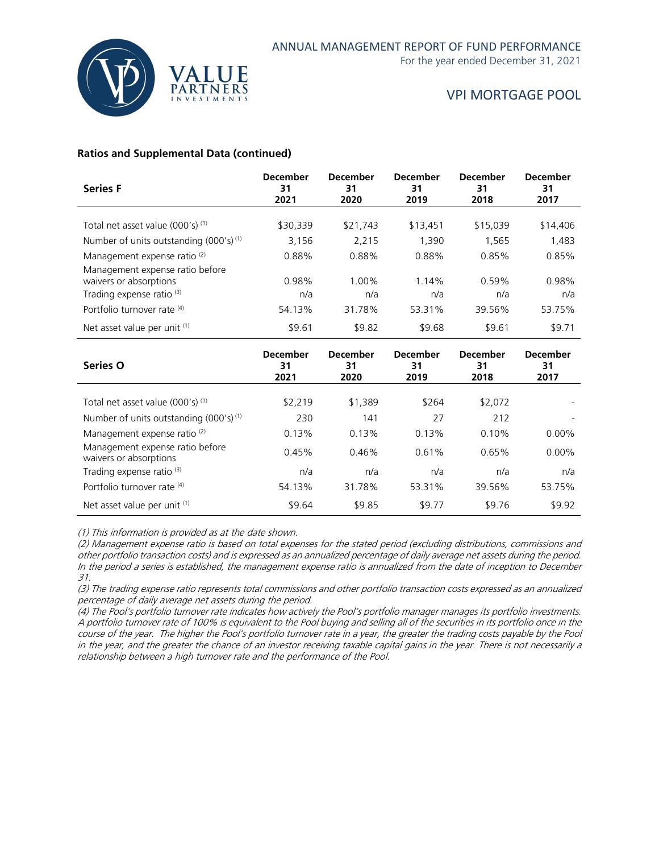

#### **Ratios and Supplemental Data (continued)**

| <b>Series F</b>                                                                                   | <b>December</b><br>31<br>2021 | <b>December</b><br>31<br>2020 | <b>December</b><br>31<br>2019 | <b>December</b><br>31<br>2018 | <b>December</b><br>31<br>2017 |
|---------------------------------------------------------------------------------------------------|-------------------------------|-------------------------------|-------------------------------|-------------------------------|-------------------------------|
| Total net asset value $(000's)^{(1)}$                                                             | \$30,339                      | \$21,743                      | \$13,451                      | \$15,039                      | \$14,406                      |
| Number of units outstanding $(000's)^{(1)}$                                                       | 3.156                         | 2.215                         | 1.390                         | 1.565                         | 1,483                         |
| Management expense ratio <sup>(2)</sup>                                                           | 0.88%                         | 0.88%                         | 0.88%                         | 0.85%                         | 0.85%                         |
| Management expense ratio before<br>waivers or absorptions<br>Trading expense ratio <sup>(3)</sup> | 0.98%<br>n/a                  | 1.00%<br>n/a                  | 1.14%<br>n/a                  | 0.59%<br>n/a                  | 0.98%<br>n/a                  |
| Portfolio turnover rate (4)                                                                       | 54.13%                        | 31.78%                        | 53.31%                        | 39.56%                        | 53.75%                        |
| Net asset value per unit (1)                                                                      | \$9.61                        | \$9.82                        | \$9.68                        | \$9.61                        | \$9.71                        |

| <b>Series O</b>                                           | <b>December</b><br>31<br>2021 | <b>December</b><br>31<br>2020 | <b>December</b><br>31<br>2019 | <b>December</b><br>31<br>2018 | <b>December</b><br>31<br>2017 |
|-----------------------------------------------------------|-------------------------------|-------------------------------|-------------------------------|-------------------------------|-------------------------------|
| Total net asset value $(000's)^{(1)}$                     | \$2,219                       | \$1,389                       | \$264                         | \$2,072                       |                               |
| Number of units outstanding (000's) <sup>(1)</sup>        | 230                           | 141                           | 27                            | 212                           |                               |
| Management expense ratio <sup>(2)</sup>                   | 0.13%                         | 0.13%                         | 0.13%                         | 0.10%                         | $0.00\%$                      |
| Management expense ratio before<br>waivers or absorptions | 0.45%                         | 0.46%                         | 0.61%                         | 0.65%                         | $0.00\%$                      |
| Trading expense ratio <sup>(3)</sup>                      | n/a                           | n/a                           | n/a                           | n/a                           | n/a                           |
| Portfolio turnover rate (4)                               | 54.13%                        | 31.78%                        | 53.31%                        | 39.56%                        | 53.75%                        |
| Net asset value per unit (1)                              | \$9.64                        | \$9.85                        | \$9.77                        | \$9.76                        | \$9.92                        |

(1) This information is provided as at the date shown.

(2) Management expense ratio is based on total expenses for the stated period (excluding distributions, commissions and other portfolio transaction costs) and is expressed as an annualized percentage of daily average net assets during the period. In the period a series is established, the management expense ratio is annualized from the date of inception to December 31.

(3) The trading expense ratio represents total commissions and other portfolio transaction costs expressed as an annualized percentage of daily average net assets during the period.

(4) The Pool's portfolio turnover rate indicates how actively the Pool's portfolio manager manages its portfolio investments. A portfolio turnover rate of 100% is equivalent to the Pool buying and selling all of the securities in its portfolio once in the course of the year. The higher the Pool's portfolio turnover rate in a year, the greater the trading costs payable by the Pool in the year, and the greater the chance of an investor receiving taxable capital gains in the year. There is not necessarily a relationship between a high turnover rate and the performance of the Pool.